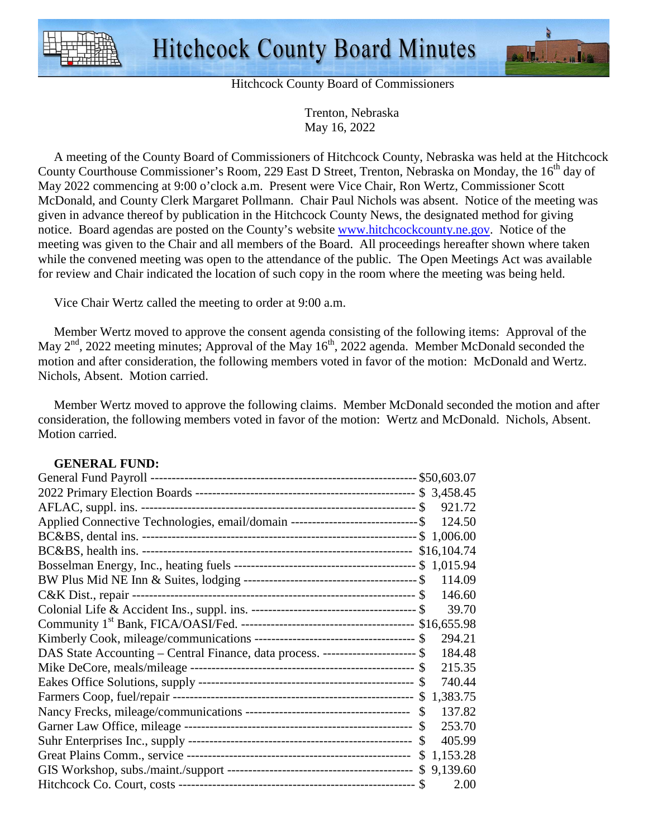



Hitchcock County Board of Commissioners

 Trenton, Nebraska May 16, 2022

 A meeting of the County Board of Commissioners of Hitchcock County, Nebraska was held at the Hitchcock County Courthouse Commissioner's Room, 229 East D Street, Trenton, Nebraska on Monday, the 16<sup>th</sup> day of May 2022 commencing at 9:00 o'clock a.m. Present were Vice Chair, Ron Wertz, Commissioner Scott McDonald, and County Clerk Margaret Pollmann. Chair Paul Nichols was absent. Notice of the meeting was given in advance thereof by publication in the Hitchcock County News, the designated method for giving notice. Board agendas are posted on the County's website www.hitchcockcounty.ne.gov. Notice of the meeting was given to the Chair and all members of the Board. All proceedings hereafter shown where taken while the convened meeting was open to the attendance of the public. The Open Meetings Act was available for review and Chair indicated the location of such copy in the room where the meeting was being held.

Vice Chair Wertz called the meeting to order at 9:00 a.m.

 Member Wertz moved to approve the consent agenda consisting of the following items: Approval of the May  $2<sup>nd</sup>$ , 2022 meeting minutes; Approval of the May  $16<sup>th</sup>$ , 2022 agenda. Member McDonald seconded the motion and after consideration, the following members voted in favor of the motion: McDonald and Wertz. Nichols, Absent. Motion carried.

 Member Wertz moved to approve the following claims. Member McDonald seconded the motion and after consideration, the following members voted in favor of the motion: Wertz and McDonald. Nichols, Absent. Motion carried.

## **GENERAL FUND:**

|                                                                                      |               | 921.72 |
|--------------------------------------------------------------------------------------|---------------|--------|
| Applied Connective Technologies, email/domain -----------------------------\$ 124.50 |               |        |
|                                                                                      |               |        |
|                                                                                      |               |        |
|                                                                                      |               |        |
|                                                                                      |               | 114.09 |
|                                                                                      |               | 146.60 |
|                                                                                      |               | 39.70  |
|                                                                                      |               |        |
|                                                                                      |               | 294.21 |
| DAS State Accounting – Central Finance, data process. ---------------------- \$      |               | 184.48 |
|                                                                                      |               | 215.35 |
|                                                                                      |               | 740.44 |
|                                                                                      |               |        |
|                                                                                      | $\mathbb{S}$  | 137.82 |
|                                                                                      |               | 253.70 |
|                                                                                      | $\mathcal{S}$ | 405.99 |
|                                                                                      |               |        |
|                                                                                      |               |        |
|                                                                                      |               | 2.00   |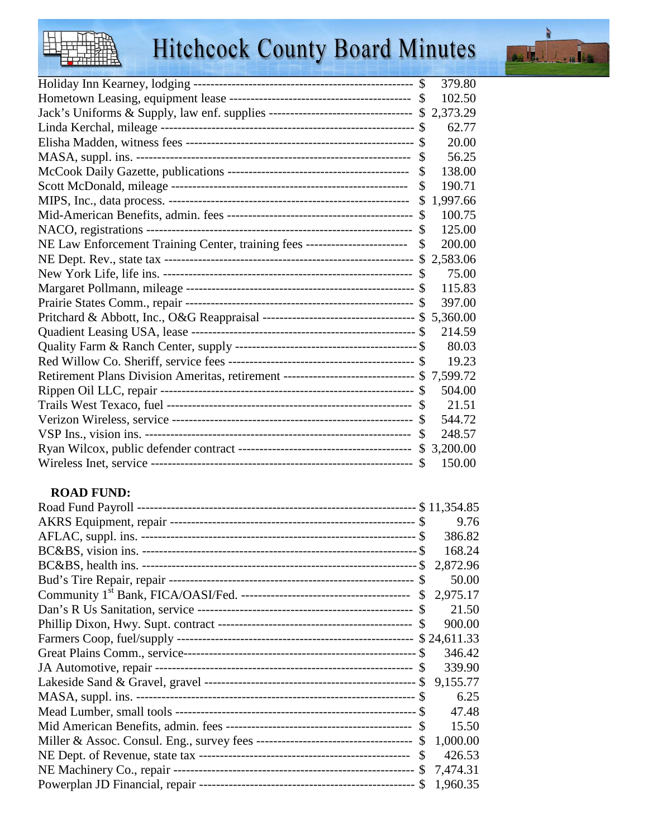## **Hitchcock County Board Minutes**



|                                                                                    |               | 379.80   |
|------------------------------------------------------------------------------------|---------------|----------|
|                                                                                    |               | 102.50   |
| Jack's Uniforms & Supply, law enf. supplies ----------------------------------- \$ |               | 2,373.29 |
|                                                                                    |               | 62.77    |
|                                                                                    |               | 20.00    |
|                                                                                    |               | 56.25    |
|                                                                                    | \$            | 138.00   |
|                                                                                    | \$            | 190.71   |
|                                                                                    | $\mathcal{S}$ | 1,997.66 |
|                                                                                    |               | 100.75   |
|                                                                                    |               | 125.00   |
| NE Law Enforcement Training Center, training fees ------------------------         | \$            | 200.00   |
|                                                                                    | $\mathbb{S}$  | 2,583.06 |
|                                                                                    |               | 75.00    |
|                                                                                    |               | 115.83   |
|                                                                                    |               | 397.00   |
| Pritchard & Abbott, Inc., O&G Reappraisal ----------------------------------- \$   |               | 5,360.00 |
|                                                                                    |               | 214.59   |
|                                                                                    |               | 80.03    |
|                                                                                    |               | 19.23    |
| Retirement Plans Division Ameritas, retirement ------------------------------ \$   |               | 7,599.72 |
|                                                                                    |               | 504.00   |
|                                                                                    |               | 21.51    |
|                                                                                    |               | 544.72   |
|                                                                                    |               | 248.57   |
|                                                                                    |               |          |
|                                                                                    |               | 150.00   |

## **ROAD FUND:**

|    | 9.76     |
|----|----------|
|    | 386.82   |
|    | 168.24   |
|    | 2,872.96 |
|    | 50.00    |
| \$ | 2,975.17 |
|    | 21.50    |
|    | 900.00   |
|    |          |
|    | 346.42   |
|    | 339.90   |
|    | 9,155.77 |
|    | 6.25     |
|    | 47.48    |
|    | 15.50    |
|    | 1,000.00 |
|    | 426.53   |
|    | 7,474.31 |
|    |          |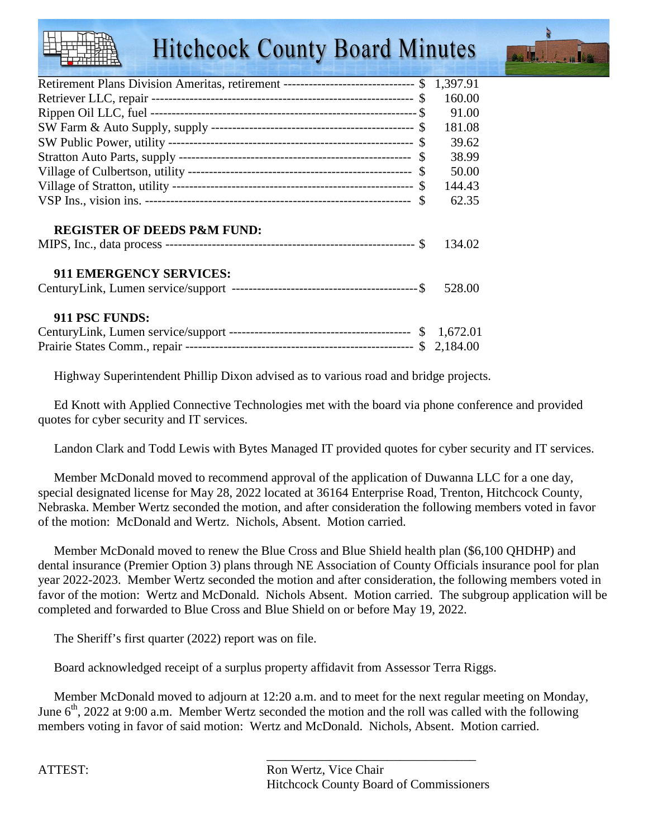## **Hitchcock County Board Minutes**



| Retirement Plans Division Ameritas, retirement ------------------------------ \$ | 1,397.91 |
|----------------------------------------------------------------------------------|----------|
|                                                                                  | 160.00   |
|                                                                                  | 91.00    |
|                                                                                  | 181.08   |
|                                                                                  | 39.62    |
|                                                                                  | 38.99    |
|                                                                                  | 50.00    |
|                                                                                  | 144.43   |
|                                                                                  | 62.35    |
| <b>REGISTER OF DEEDS P&amp;M FUND:</b>                                           |          |
|                                                                                  | 134.02   |
|                                                                                  |          |
| 911 EMERGENCY SERVICES:                                                          |          |
|                                                                                  | 528.00   |
| 911 PSC FUNDS:                                                                   |          |
|                                                                                  |          |
|                                                                                  |          |
|                                                                                  |          |

Highway Superintendent Phillip Dixon advised as to various road and bridge projects.

 Ed Knott with Applied Connective Technologies met with the board via phone conference and provided quotes for cyber security and IT services.

Landon Clark and Todd Lewis with Bytes Managed IT provided quotes for cyber security and IT services.

 Member McDonald moved to recommend approval of the application of Duwanna LLC for a one day, special designated license for May 28, 2022 located at 36164 Enterprise Road, Trenton, Hitchcock County, Nebraska. Member Wertz seconded the motion, and after consideration the following members voted in favor of the motion: McDonald and Wertz. Nichols, Absent. Motion carried.

 Member McDonald moved to renew the Blue Cross and Blue Shield health plan (\$6,100 QHDHP) and dental insurance (Premier Option 3) plans through NE Association of County Officials insurance pool for plan year 2022-2023. Member Wertz seconded the motion and after consideration, the following members voted in favor of the motion: Wertz and McDonald. Nichols Absent. Motion carried. The subgroup application will be completed and forwarded to Blue Cross and Blue Shield on or before May 19, 2022.

The Sheriff's first quarter (2022) report was on file.

Board acknowledged receipt of a surplus property affidavit from Assessor Terra Riggs.

 $\overline{\phantom{a}}$  , which is a set of the set of the set of the set of the set of the set of the set of the set of the set of the set of the set of the set of the set of the set of the set of the set of the set of the set of th

 Member McDonald moved to adjourn at 12:20 a.m. and to meet for the next regular meeting on Monday, June  $6<sup>th</sup>$ , 2022 at 9:00 a.m. Member Wertz seconded the motion and the roll was called with the following members voting in favor of said motion: Wertz and McDonald. Nichols, Absent. Motion carried.